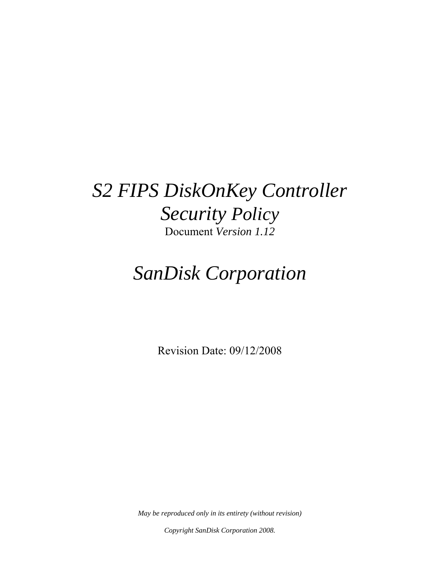# *S2 FIPS DiskOnKey Controller Security Policy* Document *Version 1.12*

# *SanDisk Corporation*

Revision Date: 09/12/2008

*May be reproduced only in its entirety (without revision)* 

*Copyright SanDisk Corporation 2008.*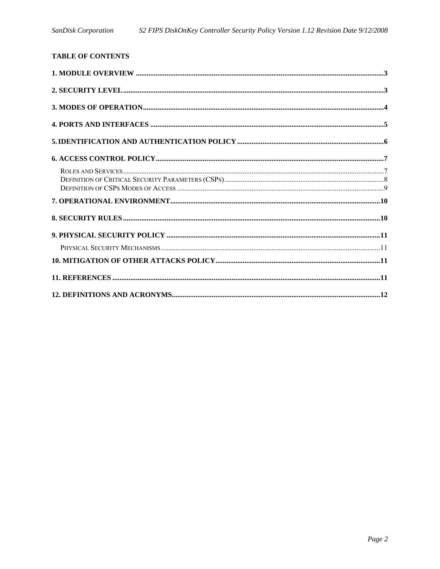| <b>TABLE OF CONTENTS</b> |  |
|--------------------------|--|
|                          |  |
|                          |  |
|                          |  |
|                          |  |
|                          |  |
|                          |  |
|                          |  |
|                          |  |
|                          |  |
|                          |  |
|                          |  |
|                          |  |
|                          |  |
|                          |  |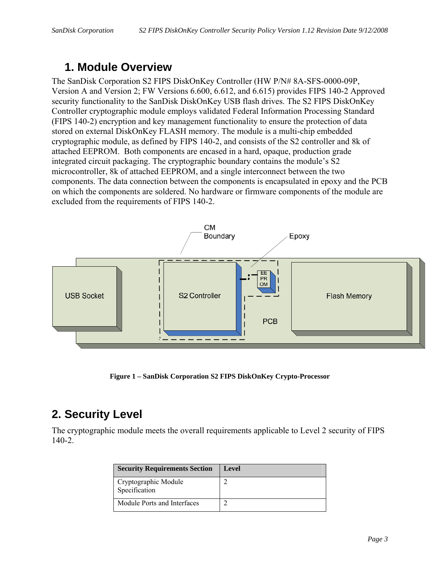### **1. Module Overview**

The SanDisk Corporation S2 FIPS DiskOnKey Controller (HW P/N# 8A-SFS-0000-09P, Version A and Version 2; FW Versions 6.600, 6.612, and 6.615) provides FIPS 140-2 Approved security functionality to the SanDisk DiskOnKey USB flash drives. The S2 FIPS DiskOnKey Controller cryptographic module employs validated Federal Information Processing Standard (FIPS 140-2) encryption and key management functionality to ensure the protection of data stored on external DiskOnKey FLASH memory. The module is a multi-chip embedded cryptographic module, as defined by FIPS 140-2, and consists of the S2 controller and 8k of attached EEPROM. Both components are encased in a hard, opaque, production grade integrated circuit packaging. The cryptographic boundary contains the module's S2 microcontroller, 8k of attached EEPROM, and a single interconnect between the two components. The data connection between the components is encapsulated in epoxy and the PCB on which the components are soldered. No hardware or firmware components of the module are excluded from the requirements of FIPS 140-2.



**Figure 1 – SanDisk Corporation S2 FIPS DiskOnKey Crypto-Processor** 

# **2. Security Level**

The cryptographic module meets the overall requirements applicable to Level 2 security of FIPS 140-2.

| <b>Security Requirements Section</b>  | Level |
|---------------------------------------|-------|
| Cryptographic Module<br>Specification |       |
| Module Ports and Interfaces           |       |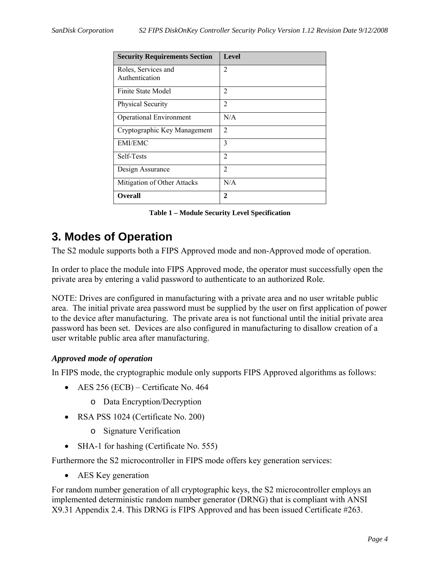| <b>Security Requirements Section</b>  | <b>Level</b>   |
|---------------------------------------|----------------|
| Roles, Services and<br>Authentication | $\overline{2}$ |
|                                       |                |
| Finite State Model                    | 2              |
| Physical Security                     | $\overline{2}$ |
| <b>Operational Environment</b>        | N/A            |
| Cryptographic Key Management          | $\overline{2}$ |
| <b>EMI/EMC</b>                        | 3              |
| Self-Tests                            | $\overline{2}$ |
| Design Assurance                      | $\overline{2}$ |
| Mitigation of Other Attacks           | N/A            |
| <b>Overall</b>                        | 2              |

**Table 1 – Module Security Level Specification** 

# **3. Modes of Operation**

The S2 module supports both a FIPS Approved mode and non-Approved mode of operation.

In order to place the module into FIPS Approved mode, the operator must successfully open the private area by entering a valid password to authenticate to an authorized Role.

NOTE: Drives are configured in manufacturing with a private area and no user writable public area. The initial private area password must be supplied by the user on first application of power to the device after manufacturing. The private area is not functional until the initial private area password has been set. Devices are also configured in manufacturing to disallow creation of a user writable public area after manufacturing.

#### *Approved mode of operation*

In FIPS mode, the cryptographic module only supports FIPS Approved algorithms as follows:

- AES  $256$  (ECB) Certificate No. 464
	- o Data Encryption/Decryption
- RSA PSS 1024 (Certificate No. 200)
	- o Signature Verification
- SHA-1 for hashing (Certificate No. 555)

Furthermore the S2 microcontroller in FIPS mode offers key generation services:

• AES Key generation

For random number generation of all cryptographic keys, the S2 microcontroller employs an implemented deterministic random number generator (DRNG) that is compliant with ANSI X9.31 Appendix 2.4. This DRNG is FIPS Approved and has been issued Certificate #263.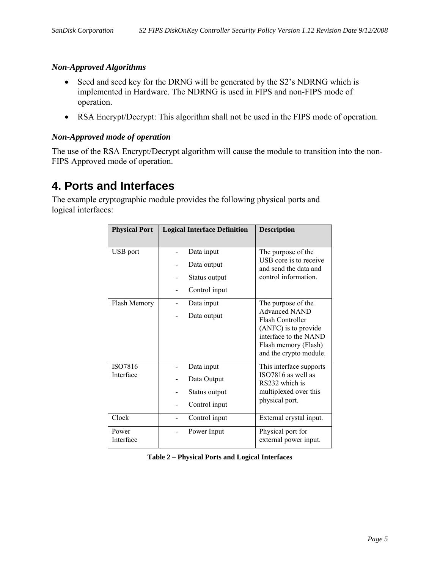#### *Non-Approved Algorithms*

- Seed and seed key for the DRNG will be generated by the S2's NDRNG which is implemented in Hardware. The NDRNG is used in FIPS and non-FIPS mode of operation.
- RSA Encrypt/Decrypt: This algorithm shall not be used in the FIPS mode of operation.

#### *Non-Approved mode of operation*

The use of the RSA Encrypt/Decrypt algorithm will cause the module to transition into the non-FIPS Approved mode of operation.

### **4. Ports and Interfaces**

The example cryptographic module provides the following physical ports and logical interfaces:

| <b>Physical Port</b> | <b>Logical Interface Definition</b>                         | <b>Description</b>                                                                                                                                                |
|----------------------|-------------------------------------------------------------|-------------------------------------------------------------------------------------------------------------------------------------------------------------------|
| USB port             | Data input<br>Data output<br>Status output<br>Control input | The purpose of the<br>USB core is to receive<br>and send the data and<br>control information.                                                                     |
| Flash Memory         | Data input<br>Data output                                   | The purpose of the<br><b>Advanced NAND</b><br>Flash Controller<br>(ANFC) is to provide<br>interface to the NAND<br>Flash memory (Flash)<br>and the crypto module. |
| ISO7816<br>Interface | Data input<br>Data Output<br>Status output<br>Control input | This interface supports<br>ISO7816 as well as<br>RS232 which is<br>multiplexed over this<br>physical port.                                                        |
| Clock                | Control input                                               | External crystal input.                                                                                                                                           |
| Power<br>Interface   | Power Input                                                 | Physical port for<br>external power input.                                                                                                                        |

**Table 2 – Physical Ports and Logical Interfaces**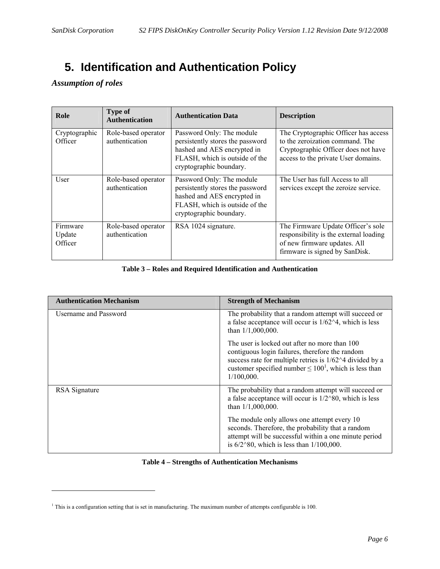# **5. Identification and Authentication Policy**

#### *Assumption of roles*

 $\overline{a}$ 

| Role                          | <b>Type of</b><br><b>Authentication</b>      | <b>Authentication Data</b>                                                                                                                                | <b>Description</b>                                                                                                                                    |
|-------------------------------|----------------------------------------------|-----------------------------------------------------------------------------------------------------------------------------------------------------------|-------------------------------------------------------------------------------------------------------------------------------------------------------|
| Cryptographic<br>Officer      | Role-based operator<br>authentication        | Password Only: The module<br>persistently stores the password<br>hashed and AES encrypted in<br>FLASH, which is outside of the<br>cryptographic boundary. | The Cryptographic Officer has access<br>to the zeroization command. The<br>Cryptographic Officer does not have<br>access to the private User domains. |
| User                          | Role-based operator<br><i>authentication</i> | Password Only: The module<br>persistently stores the password<br>hashed and AES encrypted in<br>FLASH, which is outside of the<br>cryptographic boundary. | The User has full Access to all<br>services except the zeroize service.                                                                               |
| Firmware<br>Update<br>Officer | Role-based operator<br><i>authentication</i> | RSA 1024 signature.                                                                                                                                       | The Firmware Update Officer's sole<br>responsibility is the external loading<br>of new firmware updates. All<br>firmware is signed by SanDisk.        |

#### **Table 3 – Roles and Required Identification and Authentication**

| <b>Authentication Mechanism</b> | <b>Strength of Mechanism</b>                                                                                                                                                                                                              |
|---------------------------------|-------------------------------------------------------------------------------------------------------------------------------------------------------------------------------------------------------------------------------------------|
| <b>Username and Password</b>    | The probability that a random attempt will succeed or<br>a false acceptance will occur is $1/62^4$ , which is less<br>than 1/1,000,000.                                                                                                   |
|                                 | The user is locked out after no more than 100<br>contiguous login failures, therefore the random<br>success rate for multiple retries is 1/62^4 divided by a<br>customer specified number $\leq 100^1$ , which is less than<br>1/100,000. |
| RSA Signature                   | The probability that a random attempt will succeed or<br>a false acceptance will occur is $1/2^80$ , which is less<br>than $1/1,000,000$ .                                                                                                |
|                                 | The module only allows one attempt every 10<br>seconds. Therefore, the probability that a random<br>attempt will be successful within a one minute period<br>is $6/2^80$ , which is less than $1/100,000$ .                               |

#### **Table 4 – Strengths of Authentication Mechanisms**

<sup>&</sup>lt;sup>1</sup> This is a configuration setting that is set in manufacturing. The maximum number of attempts configurable is 100.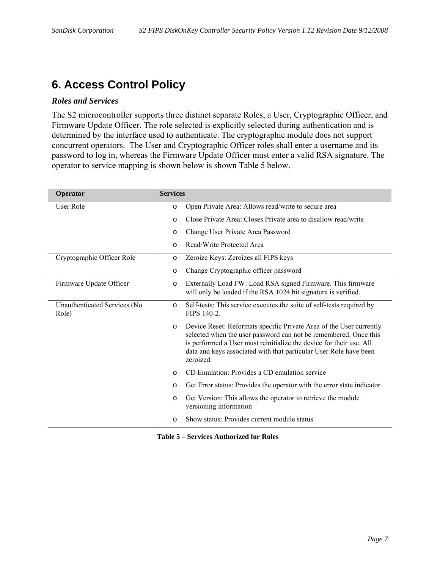### **6. Access Control Policy**

#### *Roles and Services*

The S2 microcontroller supports three distinct separate Roles, a User, Cryptographic Officer, and Firmware Update Officer. The role selected is explicitly selected during authentication and is determined by the interface used to authenticate. The cryptographic module does not support concurrent operators. The User and Cryptographic Officer roles shall enter a username and its password to log in, whereas the Firmware Update Officer must enter a valid RSA signature. The operator to service mapping is shown below is shown Table 5 below.

| Operator                              | <b>Services</b>                                                                                                                                                                                                                                                                                             |
|---------------------------------------|-------------------------------------------------------------------------------------------------------------------------------------------------------------------------------------------------------------------------------------------------------------------------------------------------------------|
| User Role                             | Open Private Area: Allows read/write to secure area<br>$\circ$                                                                                                                                                                                                                                              |
|                                       | Close Private Area: Closes Private area to disallow read/write<br>$\circ$                                                                                                                                                                                                                                   |
|                                       | Change User Private Area Password<br>$\circ$                                                                                                                                                                                                                                                                |
|                                       | Read/Write Protected Area<br>$\Omega$                                                                                                                                                                                                                                                                       |
| Cryptographic Officer Role            | Zeroize Keys: Zeroizes all FIPS keys<br>$\circ$                                                                                                                                                                                                                                                             |
|                                       | Change Cryptographic officer password<br>$\circ$                                                                                                                                                                                                                                                            |
| Firmware Update Officer               | Externally Load FW: Load RSA signed Firmware. This firmware<br>$\circ$<br>will only be loaded if the RSA 1024 bit signature is verified.                                                                                                                                                                    |
| Unauthenticated Services (No<br>Role) | Self-tests: This service executes the suite of self-tests required by<br>$\Omega$<br>FIPS 140-2.                                                                                                                                                                                                            |
|                                       | Device Reset: Reformats specific Private Area of the User currently<br>$\circ$<br>selected when the user password can not be remembered. Once this<br>is performed a User must reinitialize the device for their use. All<br>data and keys associated with that particular User Role have been<br>zeroized. |
|                                       | CD Emulation: Provides a CD emulation service<br>$\Omega$                                                                                                                                                                                                                                                   |
|                                       | Get Error status: Provides the operator with the error state indicator<br>$\circ$                                                                                                                                                                                                                           |
|                                       | Get Version: This allows the operator to retrieve the module<br>$\circ$<br>versioning information                                                                                                                                                                                                           |
|                                       | Show status: Provides current module status<br>$\circ$                                                                                                                                                                                                                                                      |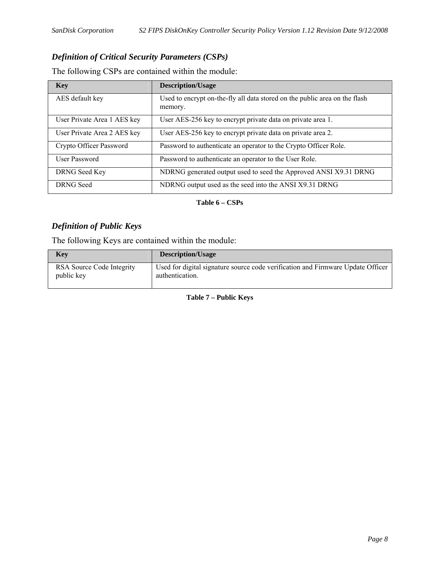#### *Definition of Critical Security Parameters (CSPs)*

The following CSPs are contained within the module:

| <b>Key</b>                  | <b>Description/Usage</b>                                                              |
|-----------------------------|---------------------------------------------------------------------------------------|
| AES default key             | Used to encrypt on-the-fly all data stored on the public area on the flash<br>memory. |
| User Private Area 1 AES key | User AES-256 key to encrypt private data on private area 1.                           |
| User Private Area 2 AES key | User AES-256 key to encrypt private data on private area 2.                           |
| Crypto Officer Password     | Password to authenticate an operator to the Crypto Officer Role.                      |
| User Password               | Password to authenticate an operator to the User Role.                                |
| DRNG Seed Key               | NDRNG generated output used to seed the Approved ANSI X9.31 DRNG                      |
| <b>DRNG</b> Seed            | NDRNG output used as the seed into the ANSI X9.31 DRNG                                |

**Table 6 – CSPs** 

#### *Definition of Public Keys*

The following Keys are contained within the module:

| Key                                     | <b>Description/Usage</b>                                                                           |
|-----------------------------------------|----------------------------------------------------------------------------------------------------|
| RSA Source Code Integrity<br>public key | Used for digital signature source code verification and Firmware Update Officer<br>authentication. |

**Table 7 – Public Keys**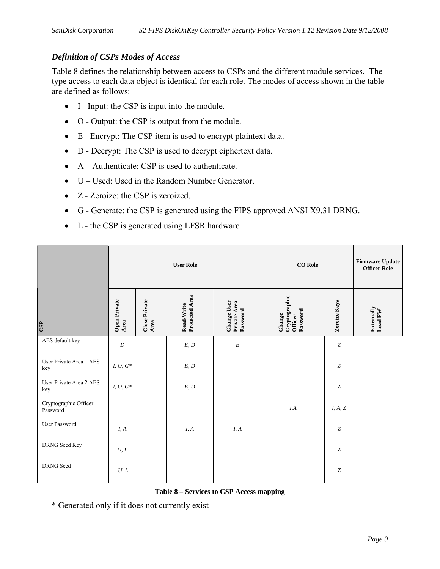#### *Definition of CSPs Modes of Access*

Table 8 defines the relationship between access to CSPs and the different module services. The type access to each data object is identical for each role. The modes of access shown in the table are defined as follows:

- I Input: the CSP is input into the module.
- O Output: the CSP is output from the module.
- E Encrypt: The CSP item is used to encrypt plaintext data.
- D Decrypt: The CSP is used to decrypt ciphertext data.
- A Authenticate: CSP is used to authenticate.
- U Used: Used in the Random Number Generator.
- Z Zeroize: the CSP is zeroized.
- G Generate: the CSP is generated using the FIPS approved ANSI X9.31 DRNG.
- L the CSP is generated using LFSR hardware

|                                   | <b>User Role</b>     |                       |                                     | <b>CO</b> Role                          |                                                | <b>Firmware Update</b><br><b>Officer Role</b> |                       |
|-----------------------------------|----------------------|-----------------------|-------------------------------------|-----------------------------------------|------------------------------------------------|-----------------------------------------------|-----------------------|
| CSP                               | Open Private<br>Area | Close Private<br>Area | Protected Area<br><b>Read/Write</b> | Change User<br>Private Area<br>Password | Cryptographic<br>Password<br>Change<br>Officer | <b>Zeroize Keys</b>                           | Externally<br>Load FW |
| AES default key                   | $\boldsymbol{D}$     |                       | E, D                                | $\cal E$                                |                                                | $\boldsymbol{Z}$                              |                       |
| User Private Area 1 AES<br>key    | $I,\,O,\,G^*$        |                       | E, D                                |                                         |                                                | $\boldsymbol{Z}$                              |                       |
| User Private Area 2 AES<br>key    | I, O, $G^*$          |                       | $\mathcal{E},\mathcal{D}$           |                                         |                                                | $\boldsymbol{Z}$                              |                       |
| Cryptographic Officer<br>Password |                      |                       |                                     |                                         | $I\!\!,\!A$                                    | $I,\,A,\,Z$                                   |                       |
| User Password                     | I, A                 |                       | I, A                                | I, A                                    |                                                | Z                                             |                       |
| DRNG Seed Key                     | U, L                 |                       |                                     |                                         |                                                | $\boldsymbol{Z}$                              |                       |
| DRNG Seed                         | U, L                 |                       |                                     |                                         |                                                | Z                                             |                       |

#### **Table 8 – Services to CSP Access mapping**

\* Generated only if it does not currently exist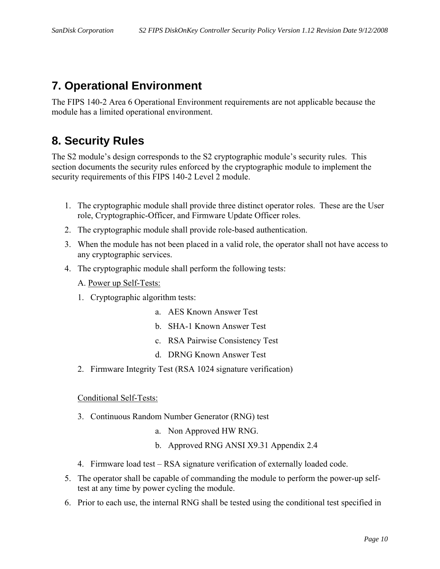# **7. Operational Environment**

The FIPS 140-2 Area 6 Operational Environment requirements are not applicable because the module has a limited operational environment.

## **8. Security Rules**

The S2 module's design corresponds to the S2 cryptographic module's security rules. This section documents the security rules enforced by the cryptographic module to implement the security requirements of this FIPS 140-2 Level 2 module.

- 1. The cryptographic module shall provide three distinct operator roles. These are the User role, Cryptographic-Officer, and Firmware Update Officer roles.
- 2. The cryptographic module shall provide role-based authentication.
- 3. When the module has not been placed in a valid role, the operator shall not have access to any cryptographic services.
- 4. The cryptographic module shall perform the following tests:
	- A. Power up Self-Tests:
	- 1. Cryptographic algorithm tests:
		- a. AES Known Answer Test
		- b. SHA-1 Known Answer Test
		- c. RSA Pairwise Consistency Test
		- d. DRNG Known Answer Test
	- 2. Firmware Integrity Test (RSA 1024 signature verification)

#### Conditional Self-Tests:

- 3. Continuous Random Number Generator (RNG) test
	- a. Non Approved HW RNG.
	- b. Approved RNG ANSI X9.31 Appendix 2.4
- 4. Firmware load test RSA signature verification of externally loaded code.
- 5. The operator shall be capable of commanding the module to perform the power-up selftest at any time by power cycling the module.
- 6. Prior to each use, the internal RNG shall be tested using the conditional test specified in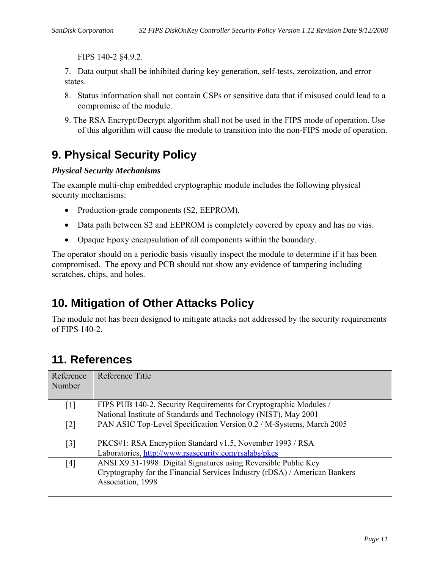FIPS 140-2 §4.9.2.

7. Data output shall be inhibited during key generation, self-tests, zeroization, and error states.

- 8. Status information shall not contain CSPs or sensitive data that if misused could lead to a compromise of the module.
- 9. The RSA Encrypt/Decrypt algorithm shall not be used in the FIPS mode of operation. Use of this algorithm will cause the module to transition into the non-FIPS mode of operation.

## **9. Physical Security Policy**

#### *Physical Security Mechanisms*

The example multi-chip embedded cryptographic module includes the following physical security mechanisms:

- Production-grade components (S2, EEPROM).
- Data path between S2 and EEPROM is completely covered by epoxy and has no vias.
- Opaque Epoxy encapsulation of all components within the boundary.

The operator should on a periodic basis visually inspect the module to determine if it has been compromised. The epoxy and PCB should not show any evidence of tampering including scratches, chips, and holes.

## **10. Mitigation of Other Attacks Policy**

The module not has been designed to mitigate attacks not addressed by the security requirements of FIPS 140-2.

### **11. References**

| Reference<br>Number | Reference Title                                                                                 |
|---------------------|-------------------------------------------------------------------------------------------------|
| $\lceil 1 \rceil$   | FIPS PUB 140-2, Security Requirements for Cryptographic Modules /                               |
|                     | National Institute of Standards and Technology (NIST), May 2001                                 |
| $\lceil 2 \rceil$   | PAN ASIC Top-Level Specification Version 0.2 / M-Systems, March 2005                            |
| $\lceil 3 \rceil$   | PKCS#1: RSA Encryption Standard v1.5, November 1993 / RSA                                       |
|                     | Laboratories, http://www.rsasecurity.com/rsalabs/pkcs                                           |
| [4]                 | ANSI X9.31-1998: Digital Signatures using Reversible Public Key                                 |
|                     | Cryptography for the Financial Services Industry (rDSA) / American Bankers<br>Association, 1998 |